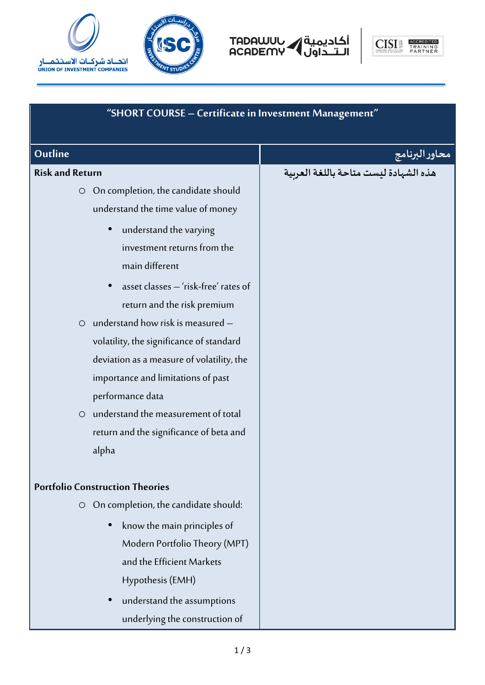







| "SHORT COURSE - Certificate in Investment Management" |                                       |
|-------------------------------------------------------|---------------------------------------|
| Outline                                               | محاور البرنامج                        |
| <b>Risk and Return</b>                                | هذه الشهادة ليست متاحة باللغة العربية |
| O On completion, the candidate should                 |                                       |
| understand the time value of money                    |                                       |
| understand the varying<br>$\bullet$                   |                                       |
| investment returns from the                           |                                       |
| main different                                        |                                       |
| asset classes - 'risk-free' rates of<br>$\bullet$     |                                       |
| return and the risk premium                           |                                       |
| $\circ$ understand how risk is measured -             |                                       |
| volatility, the significance of standard              |                                       |
| deviation as a measure of volatility, the             |                                       |
| importance and limitations of past                    |                                       |
| performance data                                      |                                       |
| understand the measurement of total<br>$\circ$        |                                       |
| return and the significance of beta and               |                                       |
| alpha                                                 |                                       |
| <b>Portfolio Construction Theories</b>                |                                       |
| On completion, the candidate should:<br>$\circ$       |                                       |
|                                                       |                                       |
| know the main principles of                           |                                       |
| Modern Portfolio Theory (MPT)                         |                                       |
| and the Efficient Markets                             |                                       |
| Hypothesis (EMH)                                      |                                       |
| understand the assumptions                            |                                       |
| underlying the construction of                        |                                       |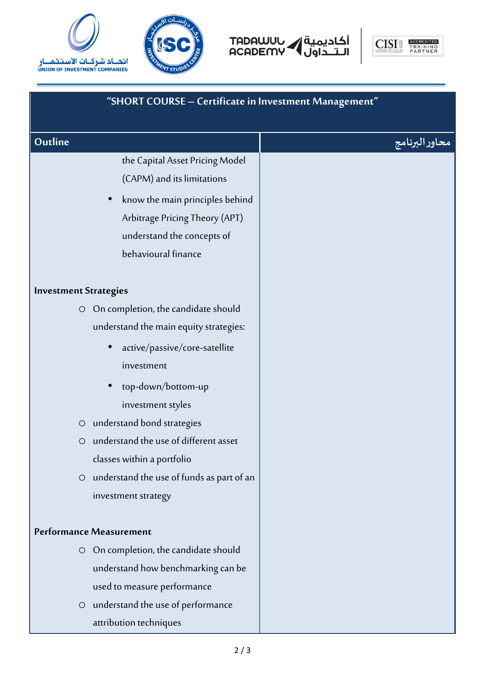







| "SHORT COURSE - Certificate in Investment Management" |                |
|-------------------------------------------------------|----------------|
| Outline                                               | محاور البرنامج |
| the Capital Asset Pricing Model                       |                |
| (CAPM) and its limitations                            |                |
| know the main principles behind                       |                |
| Arbitrage Pricing Theory (APT)                        |                |
| understand the concepts of                            |                |
| behavioural finance                                   |                |
| <b>Investment Strategies</b>                          |                |
| On completion, the candidate should<br>$\bigcirc$     |                |
| understand the main equity strategies:                |                |
| active/passive/core-satellite<br>$\bullet$            |                |
| investment                                            |                |
| top-down/bottom-up                                    |                |
| investment styles                                     |                |
| understand bond strategies<br>$\circ$                 |                |
| understand the use of different asset<br>$\circ$      |                |
| classes within a portfolio                            |                |
| O understand the use of funds as part of an           |                |
| investment strategy                                   |                |
|                                                       |                |
| <b>Performance Measurement</b>                        |                |
| O On completion, the candidate should                 |                |
| understand how benchmarking can be                    |                |
| used to measure performance                           |                |
| O understand the use of performance                   |                |
| attribution techniques                                |                |